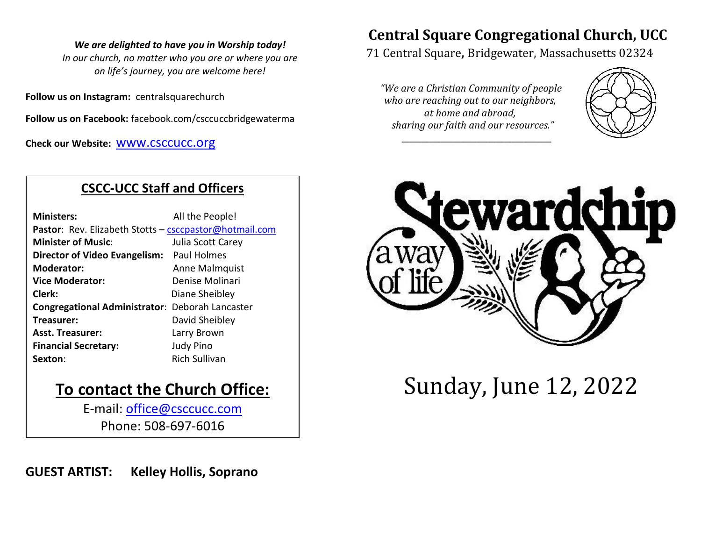#### *We are delighted to have you in Worship today!*

*In our church, no matter who you are or where you are on life's journey, you are welcome here!*

**Follow us on Instagram:** centralsquarechurch

**Follow us on Facebook:** facebook.com/csccuccbridgewaterma

**Check our Website:** [www.csccucc.org](about:blank)

## **CSCC-UCC Staff and Officers**

| <b>Ministers:</b>                                      | All the People!      |  |  |  |
|--------------------------------------------------------|----------------------|--|--|--|
| Pastor: Rev. Elizabeth Stotts - csccpastor@hotmail.com |                      |  |  |  |
| <b>Minister of Music:</b>                              | Julia Scott Carey    |  |  |  |
| Director of Video Evangelism: Paul Holmes              |                      |  |  |  |
| <b>Moderator:</b>                                      | Anne Malmquist       |  |  |  |
| <b>Vice Moderator:</b>                                 | Denise Molinari      |  |  |  |
| Clerk:                                                 | Diane Sheibley       |  |  |  |
| <b>Congregational Administrator: Deborah Lancaster</b> |                      |  |  |  |
| Treasurer:                                             | David Sheibley       |  |  |  |
| <b>Asst. Treasurer:</b>                                | Larry Brown          |  |  |  |
| <b>Financial Secretary:</b>                            | <b>Judy Pino</b>     |  |  |  |
| Sexton:                                                | <b>Rich Sullivan</b> |  |  |  |

## **To contact the Church Office:**

E-mail: [office@csccucc.com](mailto:office@csccucc.com) Phone: 508-697-6016

**GUEST ARTIST: Kelley Hollis, Soprano** 

# **Central Square Congregational Church, UCC**

71 Central Square, Bridgewater, Massachusetts 02324

*"We are a Christian Community of people who are reaching out to our neighbors, at home and abroad, sharing our faith and our resources."*

*\_\_\_\_\_\_\_\_\_\_\_\_\_\_\_\_\_\_\_\_\_\_\_\_\_\_\_\_\_\_\_\_\_\_\_\_\_\_*





Sunday, June 12, 2022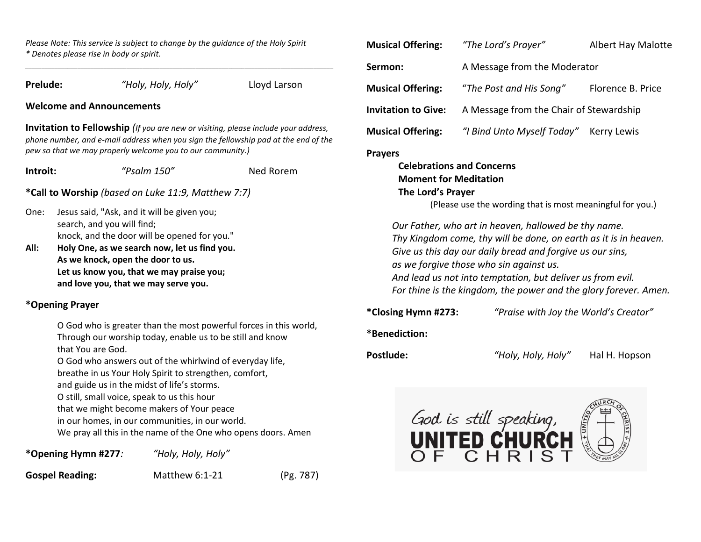*Please Note: This service is subject to change by the guidance of the Holy Spirit \* Denotes please rise in body or spirit.*

*\_\_\_\_\_\_\_\_\_\_\_\_\_\_\_\_\_\_\_\_\_\_\_\_\_\_\_\_\_\_\_\_\_\_\_\_\_\_\_\_\_\_\_\_\_\_\_\_\_\_\_\_\_\_\_\_\_\_\_\_\_\_\_\_\_\_\_\_\_\_\_\_\_\_\_\_\_\_\_\_\_\_\_\_\_\_\_\_\_\_\_\_\_\_*

| Prelude:                                                                                                                                                                                                                                                                                                                                                                                                                                                                |                                                                                                                                                                       | "Holy, Holy, Holy" |           | Lloyd Larson |  |
|-------------------------------------------------------------------------------------------------------------------------------------------------------------------------------------------------------------------------------------------------------------------------------------------------------------------------------------------------------------------------------------------------------------------------------------------------------------------------|-----------------------------------------------------------------------------------------------------------------------------------------------------------------------|--------------------|-----------|--------------|--|
| <b>Welcome and Announcements</b>                                                                                                                                                                                                                                                                                                                                                                                                                                        |                                                                                                                                                                       |                    |           |              |  |
| <b>Invitation to Fellowship</b> (If you are new or visiting, please include your address,<br>phone number, and e-mail address when you sign the fellowship pad at the end of the<br>pew so that we may properly welcome you to our community.)                                                                                                                                                                                                                          |                                                                                                                                                                       |                    |           |              |  |
| Introit:                                                                                                                                                                                                                                                                                                                                                                                                                                                                |                                                                                                                                                                       | " $Psalm 150"$     | Ned Rorem |              |  |
| *Call to Worship (based on Luke 11:9, Matthew 7:7)                                                                                                                                                                                                                                                                                                                                                                                                                      |                                                                                                                                                                       |                    |           |              |  |
| One:                                                                                                                                                                                                                                                                                                                                                                                                                                                                    | Jesus said, "Ask, and it will be given you;<br>search, and you will find;<br>knock, and the door will be opened for you."                                             |                    |           |              |  |
| All:                                                                                                                                                                                                                                                                                                                                                                                                                                                                    | Holy One, as we search now, let us find you.<br>As we knock, open the door to us.<br>Let us know you, that we may praise you;<br>and love you, that we may serve you. |                    |           |              |  |
| *Opening Prayer                                                                                                                                                                                                                                                                                                                                                                                                                                                         |                                                                                                                                                                       |                    |           |              |  |
| O God who is greater than the most powerful forces in this world,<br>Through our worship today, enable us to be still and know<br>that You are God.<br>O God who answers out of the whirlwind of everyday life,<br>breathe in us Your Holy Spirit to strengthen, comfort,<br>and guide us in the midst of life's storms.<br>O still, small voice, speak to us this hour<br>that we might become makers of Your peace<br>in our homes, in our communities, in our world. |                                                                                                                                                                       |                    |           |              |  |
| We pray all this in the name of the One who opens doors. Amen                                                                                                                                                                                                                                                                                                                                                                                                           |                                                                                                                                                                       |                    |           |              |  |
| *Opening Hymn #277:<br>"Holy, Holy, Holy"                                                                                                                                                                                                                                                                                                                                                                                                                               |                                                                                                                                                                       |                    |           |              |  |
|                                                                                                                                                                                                                                                                                                                                                                                                                                                                         | <b>Gospel Reading:</b>                                                                                                                                                | Matthew 6:1-21     |           | (Pg. 787)    |  |

| <b>Musical Offering:</b>   | "The Lord's Prayer"                     | <b>Albert Hay Malotte</b> |  |
|----------------------------|-----------------------------------------|---------------------------|--|
| Sermon:                    | A Message from the Moderator            |                           |  |
| <b>Musical Offering:</b>   | "The Post and His Song"                 | Florence B. Price         |  |
| <b>Invitation to Give:</b> | A Message from the Chair of Stewardship |                           |  |
| <b>Musical Offering:</b>   | "I Bind Unto Myself Today" Kerry Lewis  |                           |  |
| <b>Prayers</b>             |                                         |                           |  |

**Celebrations and Concerns Moment for Meditation The Lord's Prayer** (Please use the wording that is most meaningful for you.)

*Our Father, who art in heaven, hallowed be thy name. Thy Kingdom come, thy will be done, on earth as it is in heaven. Give us this day our daily bread and forgive us our sins, as we forgive those who sin against us. And lead us not into temptation, but deliver us from evil. For thine is the kingdom, the power and the glory forever. Amen.*

**\*Closing Hymn #273:** *"Praise with Joy the World's Creator"*

## **\*Benediction:**

**Postlude:** *"Holy, Holy, Holy"* Hal H. Hopson

God is still speaking,<br>**UNITED CHURCH**<br>OF CHRIST